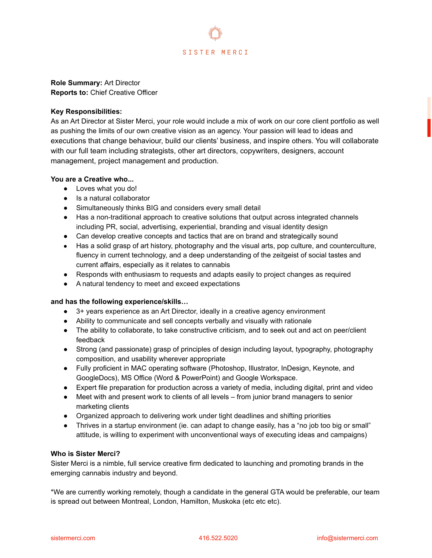

**Role Summary:** Art Director **Reports to:** Chief Creative Officer

## **Key Responsibilities:**

As an Art Director at Sister Merci, your role would include a mix of work on our core client portfolio as well as pushing the limits of our own creative vision as an agency. Your passion will lead to ideas and executions that change behaviour, build our clients' business, and inspire others. You will collaborate with our full team including strategists, other art directors, copywriters, designers, account management, project management and production.

## **You are a Creative who...**

- Loves what you do!
- Is a natural collaborator
- Simultaneously thinks BIG and considers every small detail
- Has a non-traditional approach to creative solutions that output across integrated channels including PR, social, advertising, experiential, branding and visual identity design
- Can develop creative concepts and tactics that are on brand and strategically sound
- Has a solid grasp of art history, photography and the visual arts, pop culture, and counterculture, fluency in current technology, and a deep understanding of the zeitgeist of social tastes and current affairs, especially as it relates to cannabis
- Responds with enthusiasm to requests and adapts easily to project changes as required
- A natural tendency to meet and exceed expectations

## **and has the following experience/skills…**

- 3+ years experience as an Art Director, ideally in a creative agency environment
- Ability to communicate and sell concepts verbally and visually with rationale
- The ability to collaborate, to take constructive criticism, and to seek out and act on peer/client feedback
- Strong (and passionate) grasp of principles of design including layout, typography, photography composition, and usability wherever appropriate
- Fully proficient in MAC operating software (Photoshop, Illustrator, InDesign, Keynote, and GoogleDocs), MS Office (Word & PowerPoint) and Google Workspace.
- Expert file preparation for production across a variety of media, including digital, print and video
- Meet with and present work to clients of all levels from junior brand managers to senior marketing clients
- Organized approach to delivering work under tight deadlines and shifting priorities
- Thrives in a startup environment (ie. can adapt to change easily, has a "no job too big or small" attitude, is willing to experiment with unconventional ways of executing ideas and campaigns)

## **Who is Sister Merci?**

Sister Merci is a nimble, full service creative firm dedicated to launching and promoting brands in the emerging cannabis industry and beyond.

\*We are currently working remotely, though a candidate in the general GTA would be preferable, our team is spread out between Montreal, London, Hamilton, Muskoka (etc etc etc).